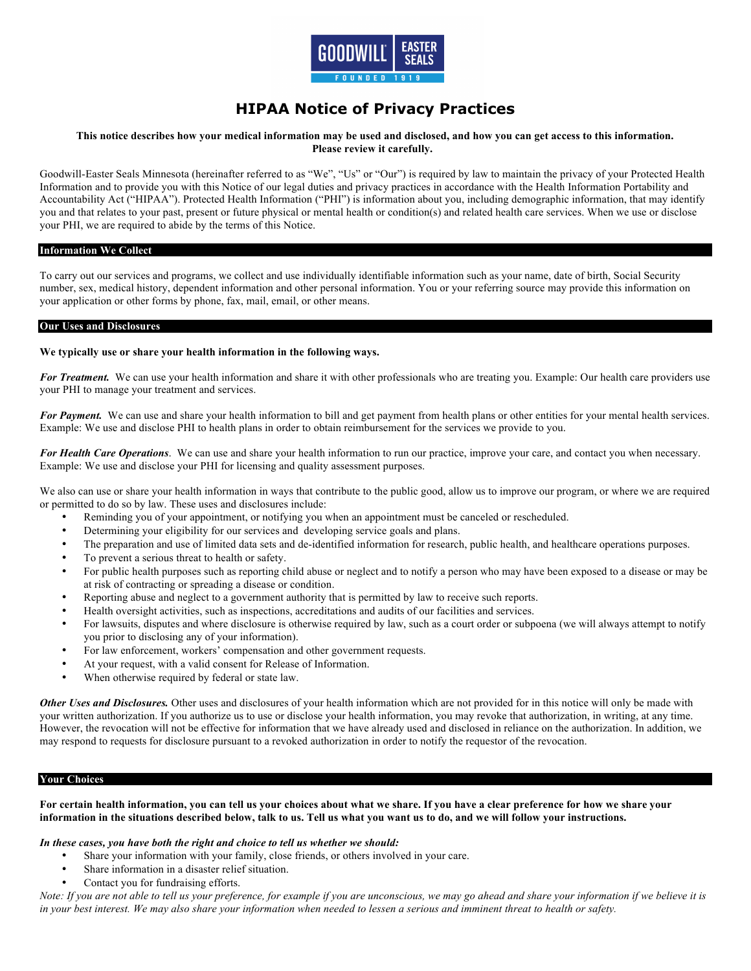

# **HIPAA Notice of Privacy Practices**

# This notice describes how your medical information may be used and disclosed, and how you can get access to this information. **Please review it carefully.**

Goodwill-Easter Seals Minnesota (hereinafter referred to as "We", "Us" or "Our") is required by law to maintain the privacy of your Protected Health Information and to provide you with this Notice of our legal duties and privacy practices in accordance with the Health Information Portability and Accountability Act ("HIPAA"). Protected Health Information ("PHI") is information about you, including demographic information, that may identify you and that relates to your past, present or future physical or mental health or condition(s) and related health care services. When we use or disclose your PHI, we are required to abide by the terms of this Notice.

#### **Information We Collect**

To carry out our services and programs, we collect and use individually identifiable information such as your name, date of birth, Social Security number, sex, medical history, dependent information and other personal information. You or your referring source may provide this information on your application or other forms by phone, fax, mail, email, or other means.

#### **Our Uses and Disclosures**

## **We typically use or share your health information in the following ways.**

For Treatment. We can use your health information and share it with other professionals who are treating you. Example: Our health care providers use your PHI to manage your treatment and services.

For Payment. We can use and share your health information to bill and get payment from health plans or other entities for your mental health services. Example: We use and disclose PHI to health plans in order to obtain reimbursement for the services we provide to you.

*For Health Care Operations*. We can use and share your health information to run our practice, improve your care, and contact you when necessary. Example: We use and disclose your PHI for licensing and quality assessment purposes.

We also can use or share your health information in ways that contribute to the public good, allow us to improve our program, or where we are required or permitted to do so by law. These uses and disclosures include:

- Reminding you of your appointment, or notifying you when an appointment must be canceled or rescheduled.
- Determining your eligibility for our services and developing service goals and plans.
- The preparation and use of limited data sets and de-identified information for research, public health, and healthcare operations purposes.
- To prevent a serious threat to health or safety.
- For public health purposes such as reporting child abuse or neglect and to notify a person who may have been exposed to a disease or may be at risk of contracting or spreading a disease or condition.
- Reporting abuse and neglect to a government authority that is permitted by law to receive such reports.
- Health oversight activities, such as inspections, accreditations and audits of our facilities and services.
- For lawsuits, disputes and where disclosure is otherwise required by law, such as a court order or subpoena (we will always attempt to notify you prior to disclosing any of your information).
- For law enforcement, workers' compensation and other government requests.
- At your request, with a valid consent for Release of Information.
- When otherwise required by federal or state law.

*Other Uses and Disclosures.* Other uses and disclosures of your health information which are not provided for in this notice will only be made with your written authorization. If you authorize us to use or disclose your health information, you may revoke that authorization, in writing, at any time. However, the revocation will not be effective for information that we have already used and disclosed in reliance on the authorization. In addition, we may respond to requests for disclosure pursuant to a revoked authorization in order to notify the requestor of the revocation.

## **Your Choices**

## **For certain health information, you can tell us your choices about what we share. If you have a clear preference for how we share your information in the situations described below, talk to us. Tell us what you want us to do, and we will follow your instructions.**

#### *In these cases, you have both the right and choice to tell us whether we should:*

- Share your information with your family, close friends, or others involved in your care.
- Share information in a disaster relief situation.
- Contact you for fundraising efforts.

*Note: If you are not able to tell us your preference, for example if you are unconscious, we may go ahead and share your information if we believe it is in your best interest. We may also share your information when needed to lessen a serious and imminent threat to health or safety.*